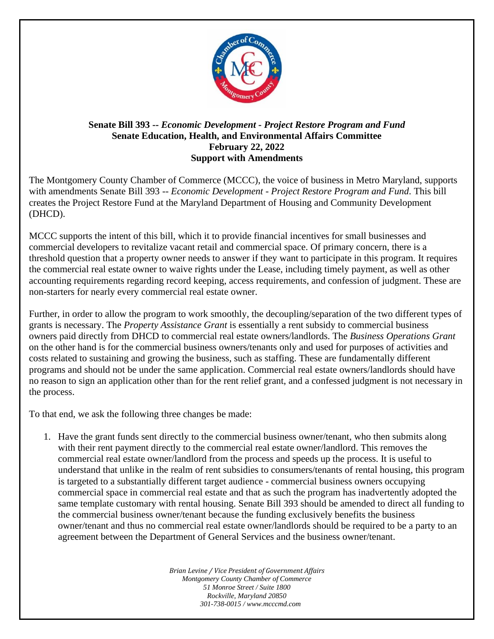

## **Senate Bill 393 --** *Economic Development - Project Restore Program and Fund* **Senate Education, Health, and Environmental Affairs Committee February 22, 2022 Support with Amendments**

The Montgomery County Chamber of Commerce (MCCC), the voice of business in Metro Maryland, supports with amendments Senate Bill 393 -- *Economic Development - Project Restore Program and Fund*. This bill creates the Project Restore Fund at the Maryland Department of Housing and Community Development (DHCD).

MCCC supports the intent of this bill, which it to provide financial incentives for small businesses and commercial developers to revitalize vacant retail and commercial space. Of primary concern, there is a threshold question that a property owner needs to answer if they want to participate in this program. It requires the commercial real estate owner to waive rights under the Lease, including timely payment, as well as other accounting requirements regarding record keeping, access requirements, and confession of judgment. These are non-starters for nearly every commercial real estate owner.

Further, in order to allow the program to work smoothly, the decoupling/separation of the two different types of grants is necessary. The *Property Assistance Grant* is essentially a rent subsidy to commercial business owners paid directly from DHCD to commercial real estate owners/landlords. The *Business Operations Grant* on the other hand is for the commercial business owners/tenants only and used for purposes of activities and costs related to sustaining and growing the business, such as staffing. These are fundamentally different programs and should not be under the same application. Commercial real estate owners/landlords should have no reason to sign an application other than for the rent relief grant, and a confessed judgment is not necessary in the process.

To that end, we ask the following three changes be made:

1. Have the grant funds sent directly to the commercial business owner/tenant, who then submits along with their rent payment directly to the commercial real estate owner/landlord. This removes the commercial real estate owner/landlord from the process and speeds up the process. It is useful to understand that unlike in the realm of rent subsidies to consumers/tenants of rental housing, this program is targeted to a substantially different target audience - commercial business owners occupying commercial space in commercial real estate and that as such the program has inadvertently adopted the same template customary with rental housing. Senate Bill 393 should be amended to direct all funding to the commercial business owner/tenant because the funding exclusively benefits the business owner/tenant and thus no commercial real estate owner/landlords should be required to be a party to an agreement between the Department of General Services and the business owner/tenant.

> *Brian Levine / Vice President of Government Affairs Montgomery County Chamber of Commerce 51 Monroe Street / Suite 1800 Rockville, Maryland 20850 301-738-0015 / www.mcccmd.com*